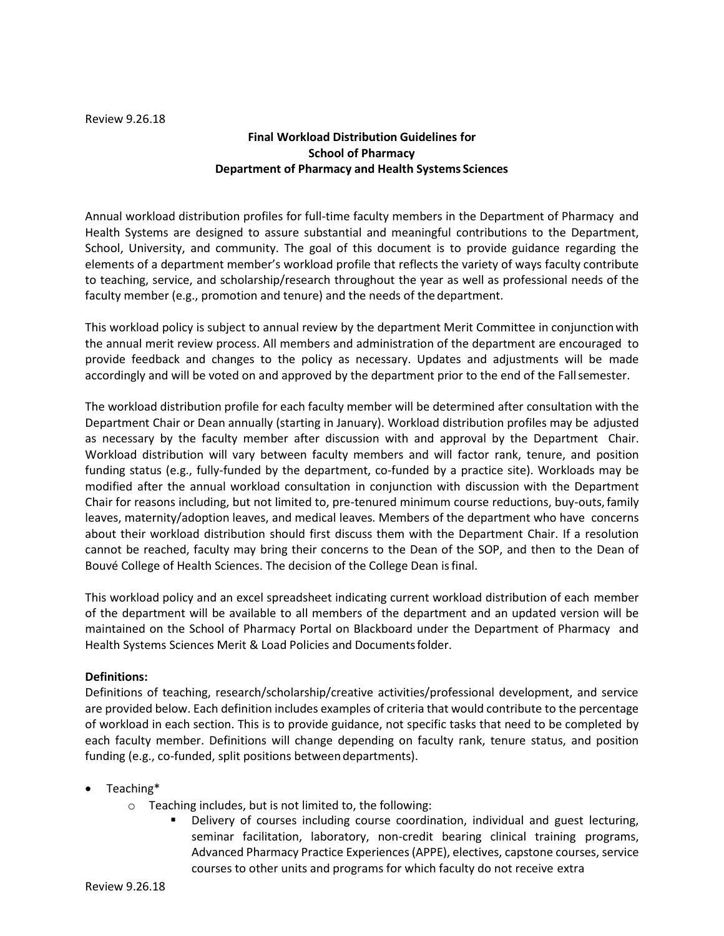Review 9.26.18

## **Final Workload Distribution Guidelines for School of Pharmacy Department of Pharmacy and Health Systems Sciences**

Annual workload distribution profiles for full-time faculty members in the Department of Pharmacy and Health Systems are designed to assure substantial and meaningful contributions to the Department, School, University, and community. The goal of this document is to provide guidance regarding the elements of a department member's workload profile that reflects the variety of ways faculty contribute to teaching, service, and scholarship/research throughout the year as well as professional needs of the faculty member (e.g., promotion and tenure) and the needs of the department.

This workload policy is subject to annual review by the department Merit Committee in conjunction with the annual merit review process. All members and administration of the department are encouraged to provide feedback and changes to the policy as necessary. Updates and adjustments will be made accordingly and will be voted on and approved by the department prior to the end of the Fallsemester.

The workload distribution profile for each faculty member will be determined after consultation with the Department Chair or Dean annually (starting in January). Workload distribution profiles may be adjusted as necessary by the faculty member after discussion with and approval by the Department Chair. Workload distribution will vary between faculty members and will factor rank, tenure, and position funding status (e.g., fully-funded by the department, co-funded by a practice site). Workloads may be modified after the annual workload consultation in conjunction with discussion with the Department Chair for reasons including, but not limited to, pre-tenured minimum course reductions, buy-outs,family leaves, maternity/adoption leaves, and medical leaves. Members of the department who have concerns about their workload distribution should first discuss them with the Department Chair. If a resolution cannot be reached, faculty may bring their concerns to the Dean of the SOP, and then to the Dean of Bouvé College of Health Sciences. The decision of the College Dean isfinal.

This workload policy and an excel spreadsheet indicating current workload distribution of each member of the department will be available to all members of the department and an updated version will be maintained on the School of Pharmacy Portal on Blackboard under the Department of Pharmacy and Health Systems Sciences Merit & Load Policies and Documentsfolder.

### **Definitions:**

Definitions of teaching, research/scholarship/creative activities/professional development, and service are provided below. Each definition includes examples of criteria that would contribute to the percentage of workload in each section. This is to provide guidance, not specific tasks that need to be completed by each faculty member. Definitions will change depending on faculty rank, tenure status, and position funding (e.g., co-funded, split positions between departments).

### Teaching\*

- o Teaching includes, but is not limited to, the following:
	- Delivery of courses including course coordination, individual and guest lecturing, seminar facilitation, laboratory, non-credit bearing clinical training programs, Advanced Pharmacy Practice Experiences(APPE), electives, capstone courses, service courses to other units and programs for which faculty do not receive extra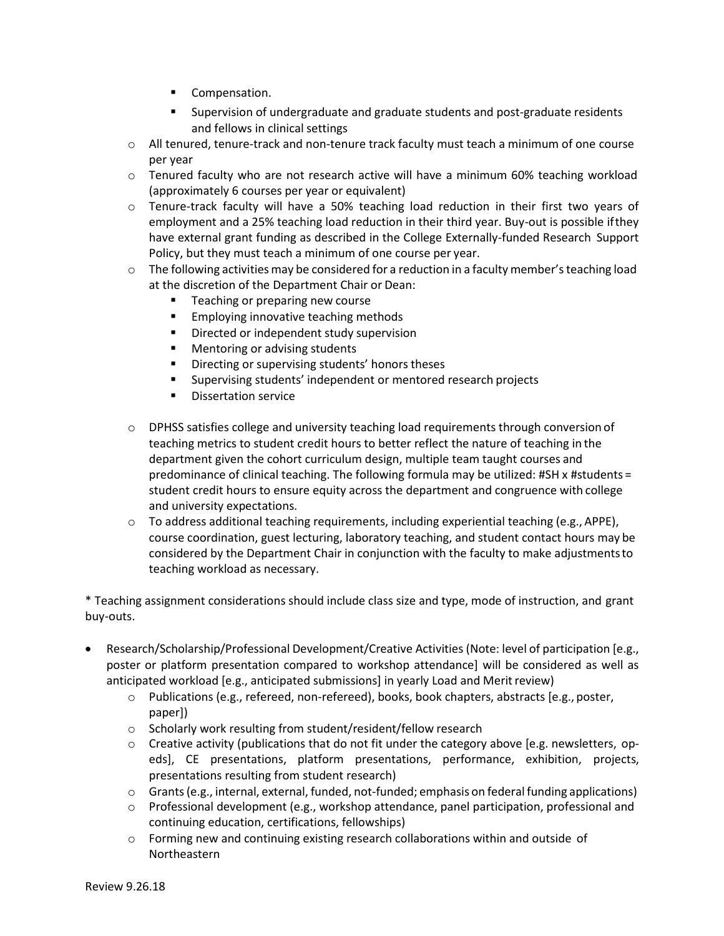- Compensation.
- Supervision of undergraduate and graduate students and post-graduate residents and fellows in clinical settings
- $\circ$  All tenured, tenure-track and non-tenure track faculty must teach a minimum of one course per year
- o Tenured faculty who are not research active will have a minimum 60% teaching workload (approximately 6 courses per year or equivalent)
- o Tenure-track faculty will have a 50% teaching load reduction in their first two years of employment and a 25% teaching load reduction in their third year. Buy-out is possible ifthey have external grant funding as described in the College Externally-funded Research Support Policy, but they must teach a minimum of one course per year.
- $\circ$  The following activities may be considered for a reduction in a faculty member's teaching load at the discretion of the Department Chair or Dean:
	- **Teaching or preparing new course**
	- **Employing innovative teaching methods**
	- **Directed or independent study supervision**
	- **Mentoring or advising students**
	- **•** Directing or supervising students' honors theses
	- Supervising students' independent or mentored research projects
	- **Dissertation service**
- o DPHSS satisfies college and university teaching load requirements through conversion of teaching metrics to student credit hours to better reflect the nature of teaching in the department given the cohort curriculum design, multiple team taught courses and predominance of clinical teaching. The following formula may be utilized: #SH x #students = student credit hours to ensure equity across the department and congruence with college and university expectations.
- $\circ$  To address additional teaching requirements, including experiential teaching (e.g., APPE), course coordination, guest lecturing, laboratory teaching, and student contact hours may be considered by the Department Chair in conjunction with the faculty to make adjustmentsto teaching workload as necessary.

\* Teaching assignment considerations should include class size and type, mode of instruction, and grant buy-outs.

- Research/Scholarship/Professional Development/Creative Activities (Note: level of participation [e.g., poster or platform presentation compared to workshop attendance] will be considered as well as anticipated workload [e.g., anticipated submissions] in yearly Load and Merit review)
	- $\circ$  Publications (e.g., refereed, non-refereed), books, book chapters, abstracts [e.g., poster, paper])
	- o Scholarly work resulting from student/resident/fellow research
	- $\circ$  Creative activity (publications that do not fit under the category above [e.g. newsletters, opeds], CE presentations, platform presentations, performance, exhibition, projects, presentations resulting from student research)
	- $\circ$  Grants (e.g., internal, external, funded, not-funded; emphasis on federal funding applications)
	- $\circ$  Professional development (e.g., workshop attendance, panel participation, professional and continuing education, certifications, fellowships)
	- $\circ$  Forming new and continuing existing research collaborations within and outside of Northeastern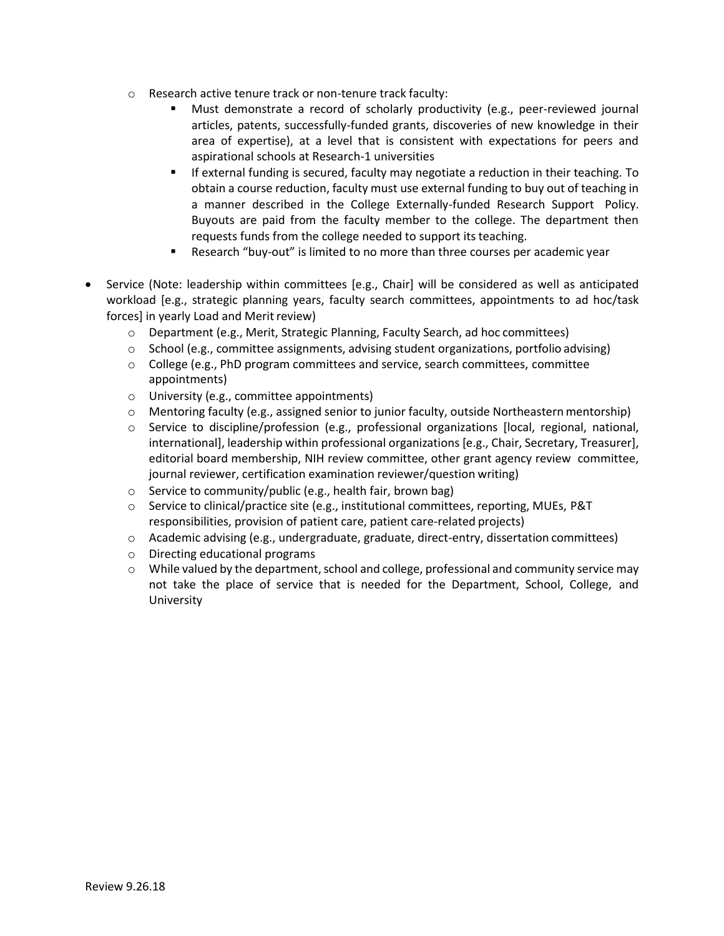- o Research active tenure track or non-tenure track faculty:
	- Must demonstrate a record of scholarly productivity (e.g., peer-reviewed journal articles, patents, successfully-funded grants, discoveries of new knowledge in their area of expertise), at a level that is consistent with expectations for peers and aspirational schools at Research-1 universities
	- If external funding is secured, faculty may negotiate a reduction in their teaching. To obtain a course reduction, faculty must use external funding to buy out of teaching in a manner described in the College Externally-funded Research Support Policy. Buyouts are paid from the faculty member to the college. The department then requests funds from the college needed to support its teaching.
	- Research "buy-out" is limited to no more than three courses per academic year
- Service (Note: leadership within committees [e.g., Chair] will be considered as well as anticipated workload [e.g., strategic planning years, faculty search committees, appointments to ad hoc/task forces] in yearly Load and Merit review)
	- o Department (e.g., Merit, Strategic Planning, Faculty Search, ad hoc committees)
	- $\circ$  School (e.g., committee assignments, advising student organizations, portfolio advising)
	- $\circ$  College (e.g., PhD program committees and service, search committees, committee appointments)
	- o University (e.g., committee appointments)
	- $\circ$  Mentoring faculty (e.g., assigned senior to junior faculty, outside Northeastern mentorship)
	- o Service to discipline/profession (e.g., professional organizations [local, regional, national, international], leadership within professional organizations [e.g., Chair, Secretary, Treasurer], editorial board membership, NIH review committee, other grant agency review committee, journal reviewer, certification examination reviewer/question writing)
	- o Service to community/public (e.g., health fair, brown bag)
	- o Service to clinical/practice site (e.g., institutional committees, reporting, MUEs, P&T responsibilities, provision of patient care, patient care-related projects)
	- o Academic advising (e.g., undergraduate, graduate, direct-entry, dissertation committees)
	- o Directing educational programs
	- $\circ$  While valued by the department, school and college, professional and community service may not take the place of service that is needed for the Department, School, College, and University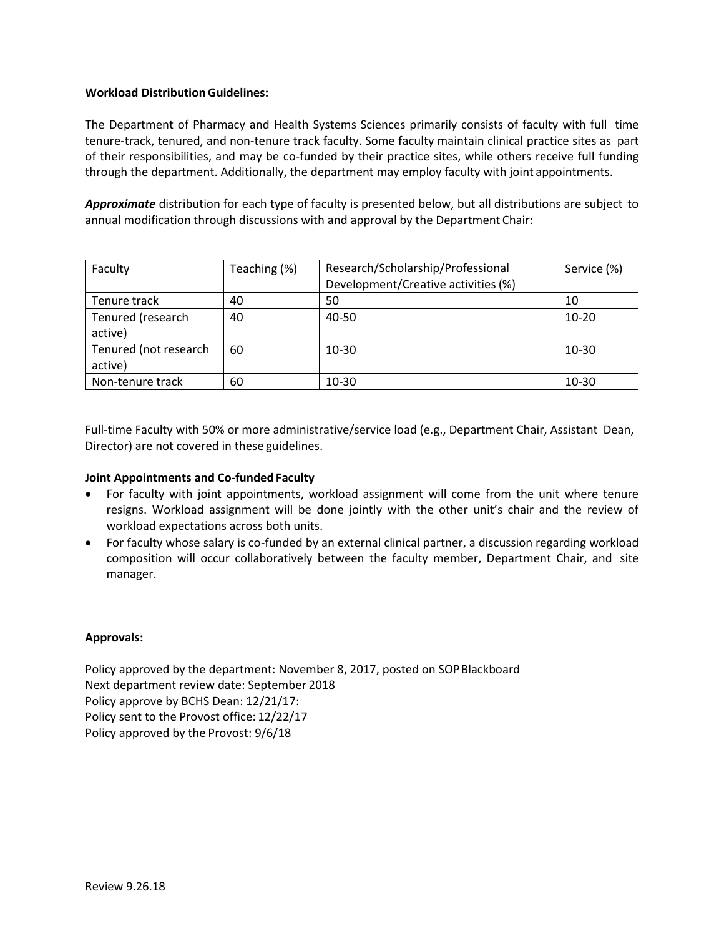### **Workload Distribution Guidelines:**

The Department of Pharmacy and Health Systems Sciences primarily consists of faculty with full time tenure-track, tenured, and non-tenure track faculty. Some faculty maintain clinical practice sites as part of their responsibilities, and may be co-funded by their practice sites, while others receive full funding through the department. Additionally, the department may employ faculty with joint appointments.

*Approximate* distribution for each type of faculty is presented below, but all distributions are subject to annual modification through discussions with and approval by the Department Chair:

| Faculty                          | Teaching (%) | Research/Scholarship/Professional   | Service (%) |
|----------------------------------|--------------|-------------------------------------|-------------|
|                                  |              | Development/Creative activities (%) |             |
| Tenure track                     | 40           | 50                                  | 10          |
| Tenured (research<br>active)     | 40           | 40-50                               | $10 - 20$   |
| Tenured (not research<br>active) | 60           | $10 - 30$                           | $10 - 30$   |
| Non-tenure track                 | 60           | $10 - 30$                           | 10-30       |

Full-time Faculty with 50% or more administrative/service load (e.g., Department Chair, Assistant Dean, Director) are not covered in these guidelines.

### **Joint Appointments and Co-funded Faculty**

- For faculty with joint appointments, workload assignment will come from the unit where tenure resigns. Workload assignment will be done jointly with the other unit's chair and the review of workload expectations across both units.
- For faculty whose salary is co-funded by an external clinical partner, a discussion regarding workload composition will occur collaboratively between the faculty member, Department Chair, and site manager.

#### **Approvals:**

Policy approved by the department: November 8, 2017, posted on SOPBlackboard Next department review date: September 2018 Policy approve by BCHS Dean: 12/21/17: Policy sent to the Provost office: 12/22/17 Policy approved by the Provost: 9/6/18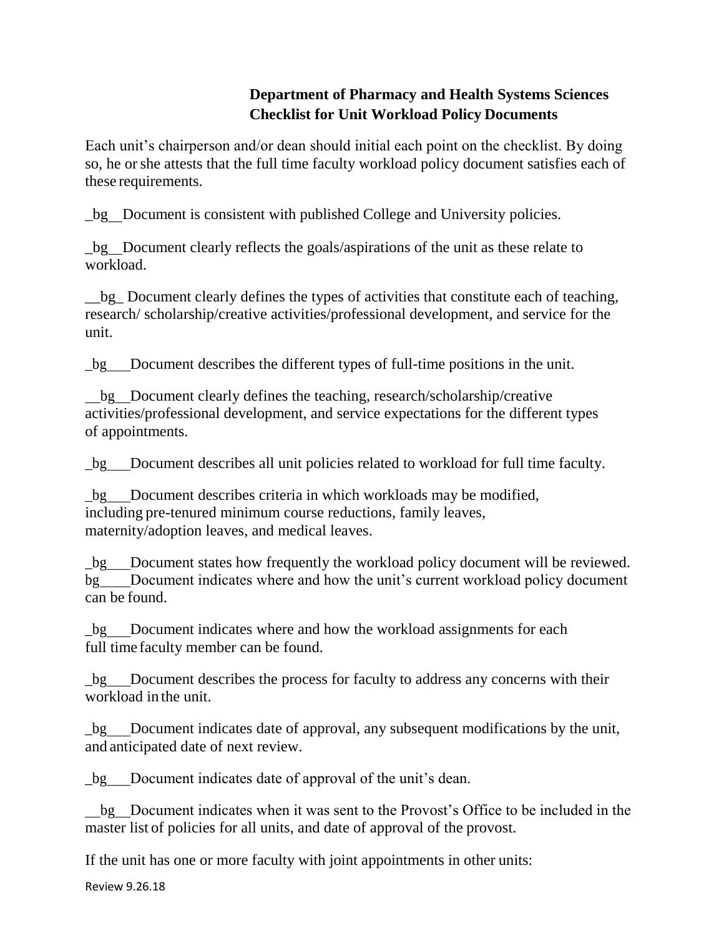# **Department of Pharmacy and Health Systems Sciences Checklist for Unit Workload Policy Documents**

Each unit's chairperson and/or dean should initial each point on the checklist. By doing so, he orshe attests that the full time faculty workload policy document satisfies each of these requirements.

\_bg Document is consistent with published College and University policies.

\_bg Document clearly reflects the goals/aspirations of the unit as these relate to workload.

\_\_bg\_ Document clearly defines the types of activities that constitute each of teaching, research/ scholarship/creative activities/professional development, and service for the unit.

\_bg Document describes the different types of full-time positions in the unit.

bg Document clearly defines the teaching, research/scholarship/creative activities/professional development, and service expectations for the different types of appointments.

\_bg Document describes all unit policies related to workload for full time faculty.

bg Document describes criteria in which workloads may be modified, including pre-tenured minimum course reductions, family leaves, maternity/adoption leaves, and medical leaves.

\_bg Document states how frequently the workload policy document will be reviewed. bg Document indicates where and how the unit's current workload policy document can be found.

\_bg Document indicates where and how the workload assignments for each full time faculty member can be found.

\_bg Document describes the process for faculty to address any concerns with their workload in the unit.

\_bg Document indicates date of approval, any subsequent modifications by the unit, and anticipated date of next review.

\_bg Document indicates date of approval of the unit's dean.

bg Document indicates when it was sent to the Provost's Office to be included in the master list of policies for all units, and date of approval of the provost.

If the unit has one or more faculty with joint appointments in other units:

Review 9.26.18